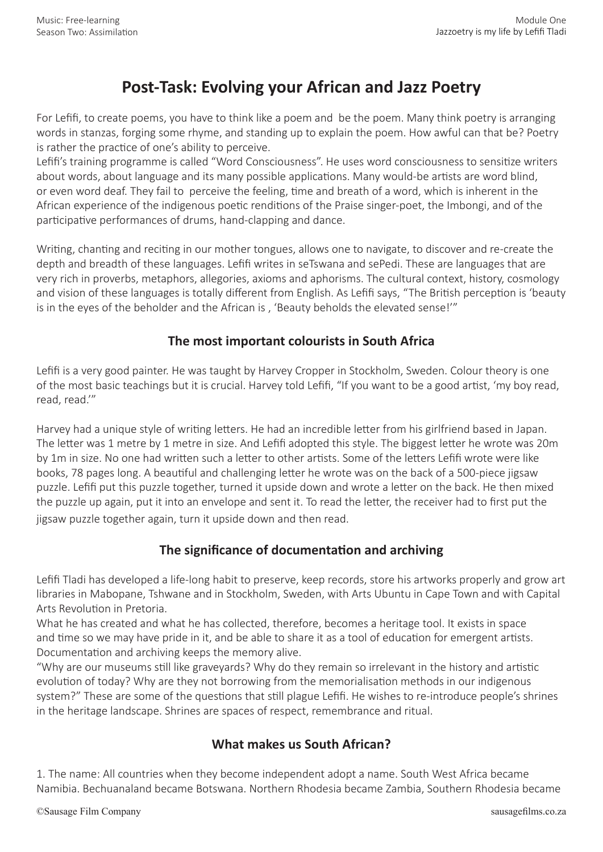# **Post-Task: Evolving your African and Jazz Poetry**

For Lefifi, to create poems, you have to think like a poem and be the poem. Many think poetry is arranging words in stanzas, forging some rhyme, and standing up to explain the poem. How awful can that be? Poetry is rather the practice of one's ability to perceive.

Lefifi's training programme is called "Word Consciousness". He uses word consciousness to sensitize writers about words, about language and its many possible applications. Many would-be artists are word blind, or even word deaf. They fail to perceive the feeling, time and breath of a word, which is inherent in the African experience of the indigenous poetic renditions of the Praise singer-poet, the Imbongi, and of the participative performances of drums, hand-clapping and dance.

Writing, chanting and reciting in our mother tongues, allows one to navigate, to discover and re-create the depth and breadth of these languages. Lefifi writes in seTswana and sePedi. These are languages that are very rich in proverbs, metaphors, allegories, axioms and aphorisms. The cultural context, history, cosmology and vision of these languages is totally different from English. As Lefifi says, "The British perception is 'beauty is in the eyes of the beholder and the African is , 'Beauty beholds the elevated sense!'"

### **The most important colourists in South Africa**

Lefifi is a very good painter. He was taught by Harvey Cropper in Stockholm, Sweden. Colour theory is one of the most basic teachings but it is crucial. Harvey told Lefifi, "If you want to be a good artist, 'my boy read, read, read.'"

Harvey had a unique style of writing letters. He had an incredible letter from his girlfriend based in Japan. The letter was 1 metre by 1 metre in size. And Lefifi adopted this style. The biggest letter he wrote was 20m by 1m in size. No one had written such a letter to other artists. Some of the letters Lefifi wrote were like books, 78 pages long. A beautiful and challenging letter he wrote was on the back of a 500-piece jigsaw puzzle. Lefifi put this puzzle together, turned it upside down and wrote a letter on the back. He then mixed the puzzle up again, put it into an envelope and sent it. To read the letter, the receiver had to first put the jigsaw puzzle together again, turn it upside down and then read.

# **The significance of documentation and archiving**

Lefifi Tladi has developed a life-long habit to preserve, keep records, store his artworks properly and grow art libraries in Mabopane, Tshwane and in Stockholm, Sweden, with Arts Ubuntu in Cape Town and with Capital Arts Revolution in Pretoria.

What he has created and what he has collected, therefore, becomes a heritage tool. It exists in space and time so we may have pride in it, and be able to share it as a tool of education for emergent artists. Documentation and archiving keeps the memory alive.

"Why are our museums still like graveyards? Why do they remain so irrelevant in the history and artistic evolution of today? Why are they not borrowing from the memorialisation methods in our indigenous system?" These are some of the questions that still plague Lefifi. He wishes to re-introduce people's shrines in the heritage landscape. Shrines are spaces of respect, remembrance and ritual.

# **What makes us South African?**

1. The name: All countries when they become independent adopt a name. South West Africa became Namibia. Bechuanaland became Botswana. Northern Rhodesia became Zambia, Southern Rhodesia became